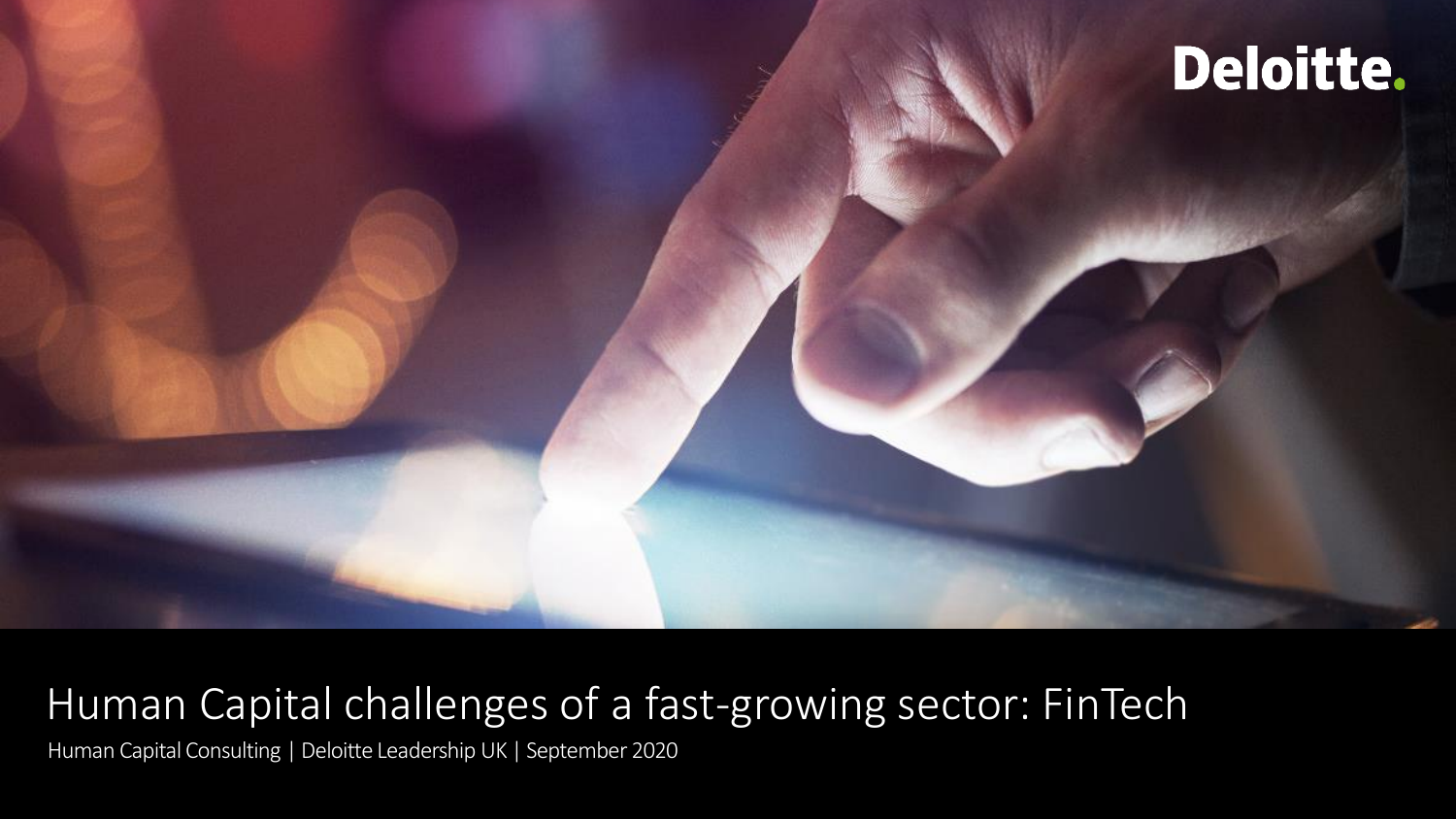

## Human Capital challenges of a fast-growing sector: FinTech

Human Capital Consulting | Deloitte Leadership UK | September 2020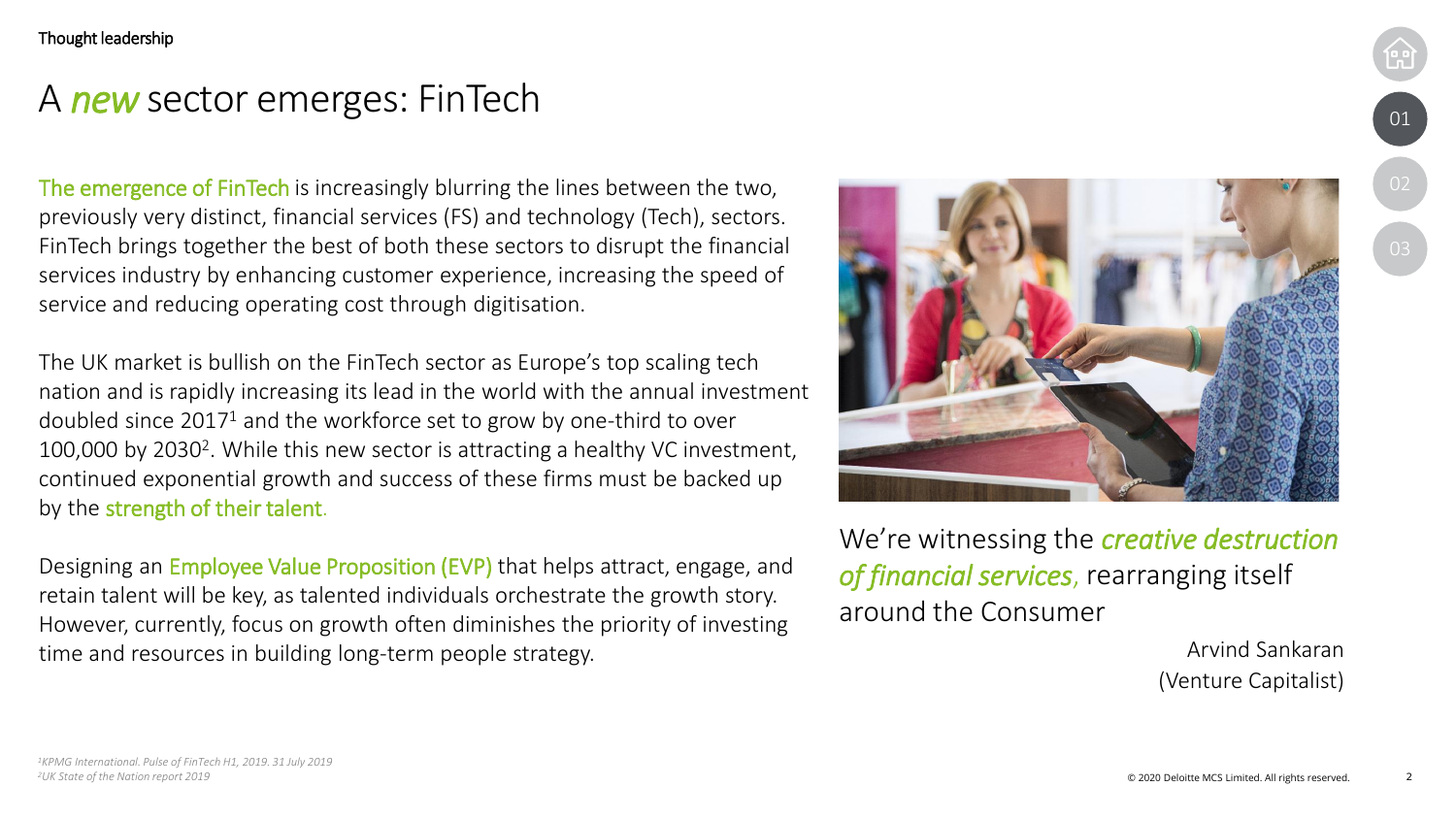#### <span id="page-1-0"></span>A *new*sector emerges: FinTech

The emergence of FinTech is increasingly blurring the lines between the two, previously very distinct, financial services (FS) and technology (Tech), sectors. FinTech brings together the best of both these sectors to disrupt the financial services industry by enhancing customer experience, increasing the speed of service and reducing operating cost through digitisation.

The UK market is bullish on the FinTech sector as Europe's top scaling tech nation and is rapidly increasing its lead in the world with the annual investment doubled since 2017<sup>1</sup> and the workforce set to grow by one-third to over 100,000 by 2030<sup>2</sup>. While this new sector is attracting a healthy VC investment, continued exponential growth and success of these firms must be backed up by the strength of their talent.

Designing an Employee Value Proposition (EVP) that helps attract, engage, and retain talent will be key, as talented individuals orchestrate the growth story. However, currently, focus on growth often diminishes the priority of investing time and resources in building long-term people strategy.



We're witnessing the *creative destruction of financial services*, rearranging itself around the Consumer

> Arvind Sankaran (Venture Capitalist)

[01](#page-1-0)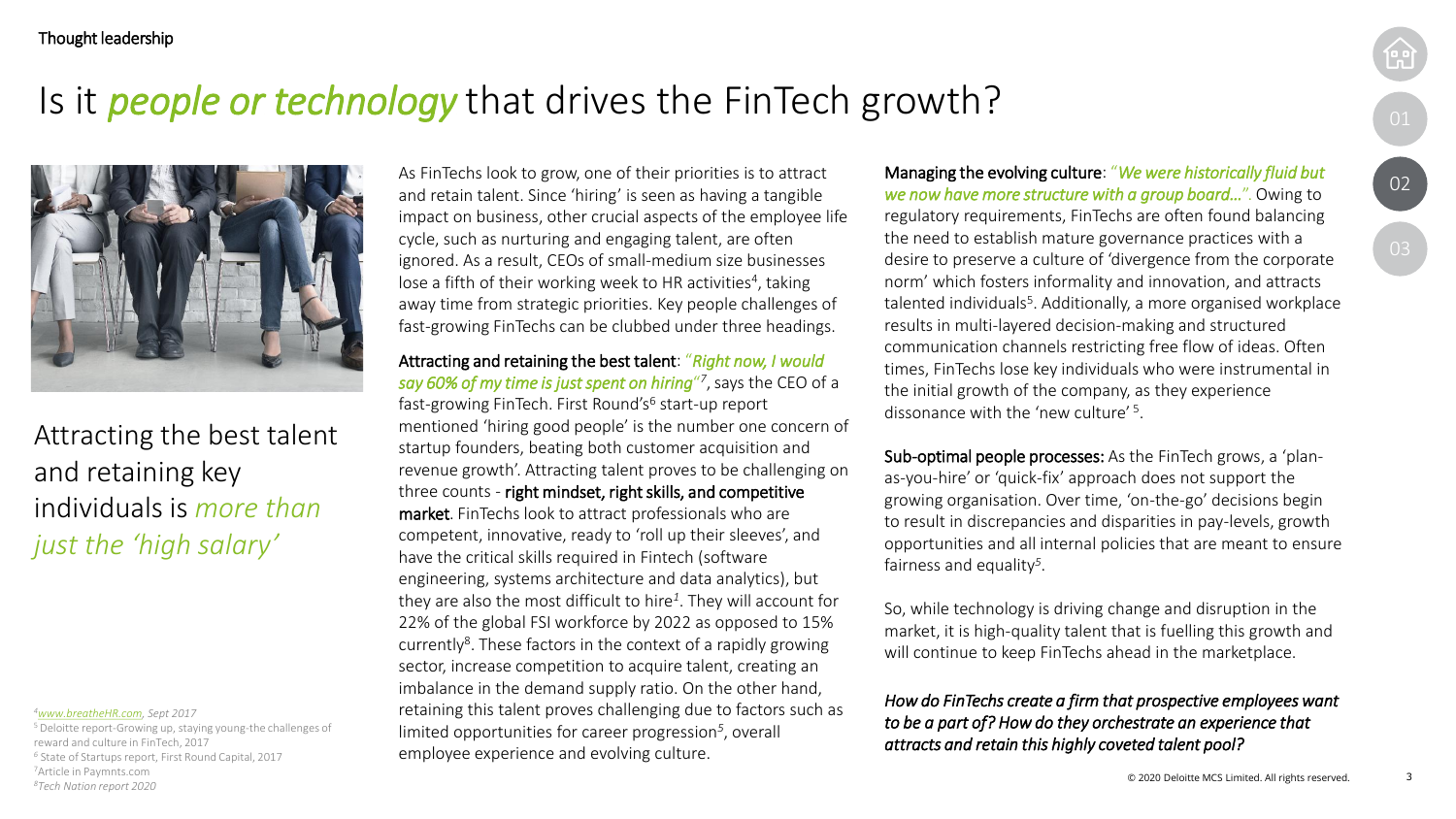### <span id="page-2-0"></span>Is it *people or technology* that drives the FinTech growth?



Attracting the best talent and retaining key individuals is *more than just the 'high salary'*

*<sup>4</sup>[www.breatheHR.com,](http://www.breathehr.com/) Sept 2017*

Deloitte report-Growing up, staying young-the challenges of reward and culture in FinTech, 2017 State of Startups report, First Round Capital, 2017 Article in Paymnts.com *Tech Nation report 2020*

As FinTechs look to grow, one of their priorities is to attract and retain talent. Since 'hiring' is seen as having a tangible impact on business, other crucial aspects of the employee life cycle, such as nurturing and engaging talent, are often ignored. As a result, CEOs of small-medium size businesses lose a fifth of their working week to HR activities<sup>4</sup>, taking away time from strategic priorities. Key people challenges of fast-growing FinTechs can be clubbed under three headings.

Attracting and retaining the best talent: "*Right now, I would say 60% of my time is just spent on hiring*" *7* , says the CEO of a fast-growing FinTech. First Round's<sup>6</sup> start-up report mentioned 'hiring good people' is the number one concern of startup founders, beating both customer acquisition and revenue growth'. Attracting talent proves to be challenging on three counts - right mindset, right skills, and competitive market. FinTechs look to attract professionals who are competent, innovative, ready to 'roll up their sleeves', and have the critical skills required in Fintech (software engineering, systems architecture and data analytics), but they are also the most difficult to hire*<sup>1</sup>* . They will account for 22% of the global FSI workforce by 2022 as opposed to 15% currently<sup>8</sup>. These factors in the context of a rapidly growing sector, increase competition to acquire talent, creating an imbalance in the demand supply ratio. On the other hand, retaining this talent proves challenging due to factors such as limited opportunities for career progression*<sup>5</sup>* , overall employee experience and evolving culture.

Managing the evolving culture: "*We were historically fluid but we now have more structure with a group board…*". Owing to regulatory requirements, FinTechs are often found balancing the need to establish mature governance practices with a desire to preserve a culture of 'divergence from the corporate norm' which fosters informality and innovation, and attracts talented individuals<sup>5</sup>. Additionally, a more organised workplace results in multi-layered decision-making and structured communication channels restricting free flow of ideas. Often times, FinTechs lose key individuals who were instrumental in the initial growth of the company, as they experience dissonance with the 'new culture' <sup>5</sup>.

Sub-optimal people processes: As the FinTech grows, a 'planas-you-hire' or 'quick-fix' approach does not support the growing organisation. Over time, 'on-the-go' decisions begin to result in discrepancies and disparities in pay-levels, growth opportunities and all internal policies that are meant to ensure fairness and equality*<sup>5</sup>* .

So, while technology is driving change and disruption in the market, it is high-quality talent that is fuelling this growth and will continue to keep FinTechs ahead in the marketplace.

#### *How do FinTechs create a firm that prospective employees want to be a part of? How do they orchestrate an experience that attracts and retain this highly coveted talent pool?*

3

02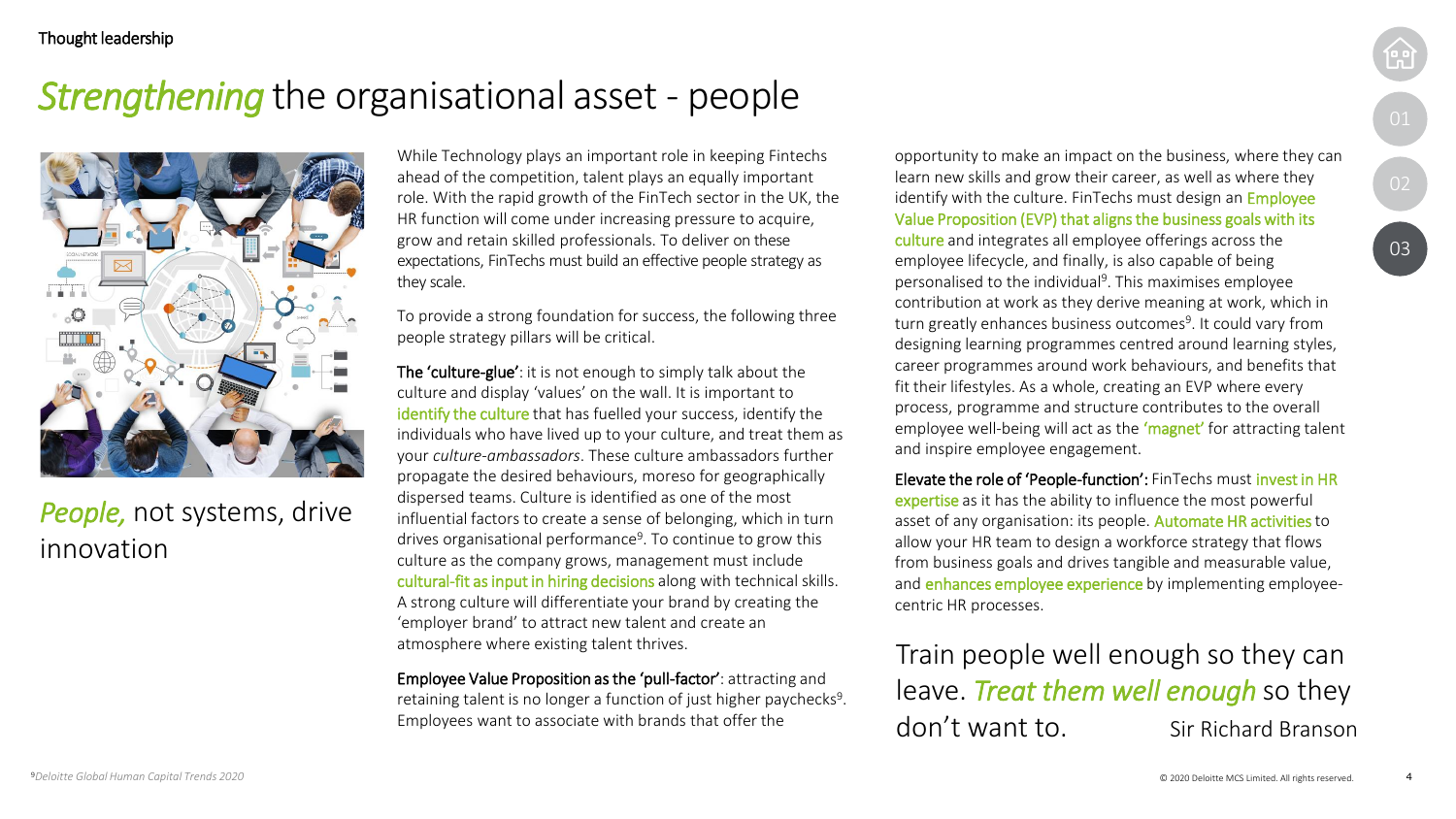### <span id="page-3-0"></span>*Strengthening* the organisational asset - people



#### *People,* not systems, drive innovation

While Technology plays an important role in keeping Fintechs ahead of the competition, talent plays an equally important role. With the rapid growth of the FinTech sector in the UK, the HR function will come under increasing pressure to acquire, grow and retain skilled professionals. To deliver on these expectations, FinTechs must build an effective people strategy as they scale.

To provide a strong foundation for success, the following three people strategy pillars will be critical.

The 'culture-glue': it is not enough to simply talk about the culture and display 'values' on the wall. It is important to identify the culture that has fuelled your success, identify the individuals who have lived up to your culture, and treat them as your *culture-ambassadors*. These culture ambassadors further propagate the desired behaviours, moreso for geographically dispersed teams. Culture is identified as one of the most influential factors to create a sense of belonging, which in turn drives organisational performance<sup>9</sup>. To continue to grow this culture as the company grows, management must include cultural-fit as input in hiring decisions along with technical skills. A strong culture will differentiate your brand by creating the 'employer brand' to attract new talent and create an atmosphere where existing talent thrives.

Employee Value Proposition as the 'pull-factor': attracting and retaining talent is no longer a function of just higher paychecks<sup>9</sup>. Employees want to associate with brands that offer the

opportunity to make an impact on the business, where they can learn new skills and grow their career, as well as where they identify with the culture. FinTechs must design an **Employee** Value Proposition (EVP) that aligns the business goals with its culture and integrates all employee offerings across the employee lifecycle, and finally, is also capable of being personalised to the individual<sup>9</sup>. This maximises employee contribution at work as they derive meaning at work, which in turn greatly enhances business outcomes<sup>9</sup>. It could vary from designing learning programmes centred around learning styles, career programmes around work behaviours, and benefits that fit their lifestyles. As a whole, creating an EVP where every process, programme and structure contributes to the overall employee well-being will act as the 'magnet' for attracting talent and inspire employee engagement.

Elevate the role of 'People-function': FinTechs must invest in HR expertise as it has the ability to influence the most powerful asset of any organisation: its people. Automate HR activities to allow your HR team to design a workforce strategy that flows from business goals and drives tangible and measurable value, and enhances employee experience by implementing employeecentric HR processes.

Train people well enough so they can leave. *Treat them well enough* so they don't want to. Sir Richard Branson

4

[03](#page-3-0)